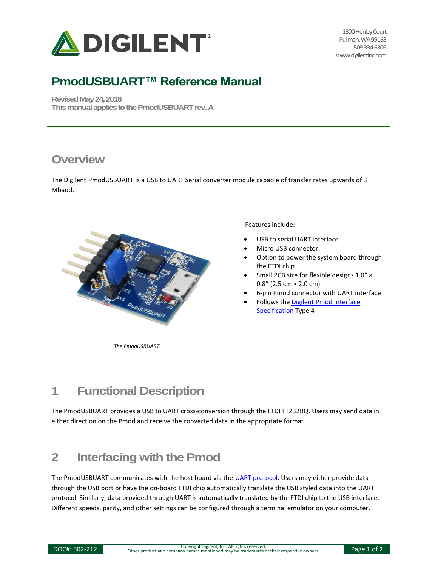

1300 Henley Court Pullman, WA 99163 509.334.6306 www.digilentinc.com

# **PmodUSBUART™ Reference Manual**

**Revised May 24, 2016 This manual applies to the PmodUSBUART rev. A** 

#### **Overview**

The Digilent PmodUSBUART is a USB to UART Serial converter module capable of transfer rates upwards of 3 Mbaud.



Features include:

- USB to serial UART interface
- Micro USB connector
- Option to power the system board through the FTDI chip
- Small PCB size for flexible designs 1.0" ×  $0.8''$  (2.5 cm  $\times$  2.0 cm)
- 6-pin Pmod connector with UART interface
- Follows the [Digilent Pmod Interface](https://www.digilentinc.com/Pmods/Digilent-Pmod_%20Interface_Specification.pdf)  [Specification](https://www.digilentinc.com/Pmods/Digilent-Pmod_%20Interface_Specification.pdf) Type 4

*The PmodUSBUART.*

### **1 Functional Description**

The PmodUSBUART provides a USB to UART cross-conversion through the FTDI FT232RQ. Users may send data in either direction on the Pmod and receive the converted data in the appropriate format.

### **2 Interfacing with the Pmod**

The PmodUSBUART communicates with the host board via the [UART protocol.](https://reference.digilentinc.com/pmod/communication_protocols) Users may either provide data through the USB port or have the on-board FTDI chip automatically translate the USB styled data into the UART protocol. Similarly, data provided through UART is automatically translated by the FTDI chip to the USB interface. Different speeds, parity, and other settings can be configured through a terminal emulator on your computer.